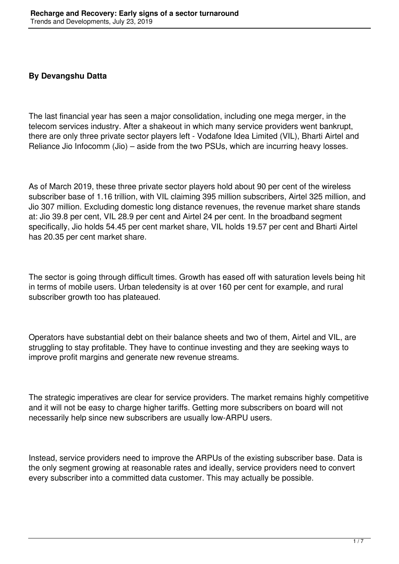## **By Devangshu Datta**

The last financial year has seen a major consolidation, including one mega merger, in the telecom services industry. After a shakeout in which many service providers went bankrupt, there are only three private sector players left - Vodafone Idea Limited (VIL), Bharti Airtel and Reliance Jio Infocomm (Jio) – aside from the two PSUs, which are incurring heavy losses.

As of March 2019, these three private sector players hold about 90 per cent of the wireless subscriber base of 1.16 trillion, with VIL claiming 395 million subscribers, Airtel 325 million, and Jio 307 million. Excluding domestic long distance revenues, the revenue market share stands at: Jio 39.8 per cent, VIL 28.9 per cent and Airtel 24 per cent. In the broadband segment specifically, Jio holds 54.45 per cent market share, VIL holds 19.57 per cent and Bharti Airtel has 20.35 per cent market share.

The sector is going through difficult times. Growth has eased off with saturation levels being hit in terms of mobile users. Urban teledensity is at over 160 per cent for example, and rural subscriber growth too has plateaued.

Operators have substantial debt on their balance sheets and two of them, Airtel and VIL, are struggling to stay profitable. They have to continue investing and they are seeking ways to improve profit margins and generate new revenue streams.

The strategic imperatives are clear for service providers. The market remains highly competitive and it will not be easy to charge higher tariffs. Getting more subscribers on board will not necessarily help since new subscribers are usually low-ARPU users.

Instead, service providers need to improve the ARPUs of the existing subscriber base. Data is the only segment growing at reasonable rates and ideally, service providers need to convert every subscriber into a committed data customer. This may actually be possible.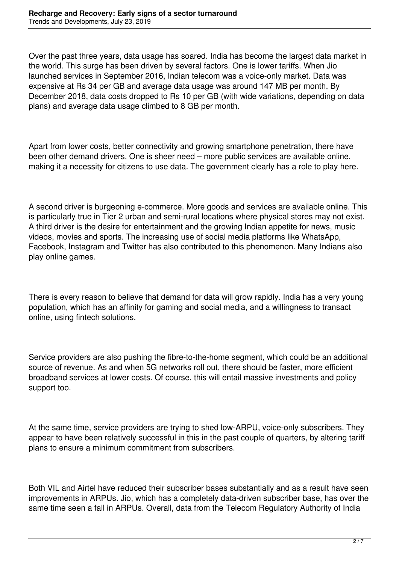Over the past three years, data usage has soared. India has become the largest data market in the world. This surge has been driven by several factors. One is lower tariffs. When Jio launched services in September 2016, Indian telecom was a voice-only market. Data was expensive at Rs 34 per GB and average data usage was around 147 MB per month. By December 2018, data costs dropped to Rs 10 per GB (with wide variations, depending on data plans) and average data usage climbed to 8 GB per month.

Apart from lower costs, better connectivity and growing smartphone penetration, there have been other demand drivers. One is sheer need – more public services are available online, making it a necessity for citizens to use data. The government clearly has a role to play here.

A second driver is burgeoning e-commerce. More goods and services are available online. This is particularly true in Tier 2 urban and semi-rural locations where physical stores may not exist. A third driver is the desire for entertainment and the growing Indian appetite for news, music videos, movies and sports. The increasing use of social media platforms like WhatsApp, Facebook, Instagram and Twitter has also contributed to this phenomenon. Many Indians also play online games.

There is every reason to believe that demand for data will grow rapidly. India has a very young population, which has an affinity for gaming and social media, and a willingness to transact online, using fintech solutions.

Service providers are also pushing the fibre-to-the-home segment, which could be an additional source of revenue. As and when 5G networks roll out, there should be faster, more efficient broadband services at lower costs. Of course, this will entail massive investments and policy support too.

At the same time, service providers are trying to shed low-ARPU, voice-only subscribers. They appear to have been relatively successful in this in the past couple of quarters, by altering tariff plans to ensure a minimum commitment from subscribers.

Both VIL and Airtel have reduced their subscriber bases substantially and as a result have seen improvements in ARPUs. Jio, which has a completely data-driven subscriber base, has over the same time seen a fall in ARPUs. Overall, data from the Telecom Regulatory Authority of India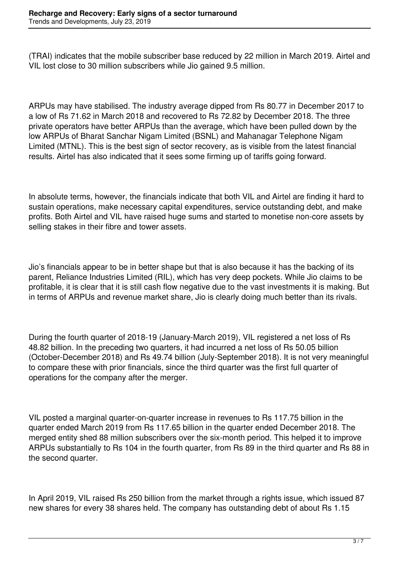(TRAI) indicates that the mobile subscriber base reduced by 22 million in March 2019. Airtel and VIL lost close to 30 million subscribers while Jio gained 9.5 million.

ARPUs may have stabilised. The industry average dipped from Rs 80.77 in December 2017 to a low of Rs 71.62 in March 2018 and recovered to Rs 72.82 by December 2018. The three private operators have better ARPUs than the average, which have been pulled down by the low ARPUs of Bharat Sanchar Nigam Limited (BSNL) and Mahanagar Telephone Nigam Limited (MTNL). This is the best sign of sector recovery, as is visible from the latest financial results. Airtel has also indicated that it sees some firming up of tariffs going forward.

In absolute terms, however, the financials indicate that both VIL and Airtel are finding it hard to sustain operations, make necessary capital expenditures, service outstanding debt, and make profits. Both Airtel and VIL have raised huge sums and started to monetise non-core assets by selling stakes in their fibre and tower assets.

Jio's financials appear to be in better shape but that is also because it has the backing of its parent, Reliance Industries Limited (RIL), which has very deep pockets. While Jio claims to be profitable, it is clear that it is still cash flow negative due to the vast investments it is making. But in terms of ARPUs and revenue market share, Jio is clearly doing much better than its rivals.

During the fourth quarter of 2018-19 (January-March 2019), VIL registered a net loss of Rs 48.82 billion. In the preceding two quarters, it had incurred a net loss of Rs 50.05 billion (October-December 2018) and Rs 49.74 billion (July-September 2018). It is not very meaningful to compare these with prior financials, since the third quarter was the first full quarter of operations for the company after the merger.

VIL posted a marginal quarter-on-quarter increase in revenues to Rs 117.75 billion in the quarter ended March 2019 from Rs 117.65 billion in the quarter ended December 2018. The merged entity shed 88 million subscribers over the six-month period. This helped it to improve ARPUs substantially to Rs 104 in the fourth quarter, from Rs 89 in the third quarter and Rs 88 in the second quarter.

In April 2019, VIL raised Rs 250 billion from the market through a rights issue, which issued 87 new shares for every 38 shares held. The company has outstanding debt of about Rs 1.15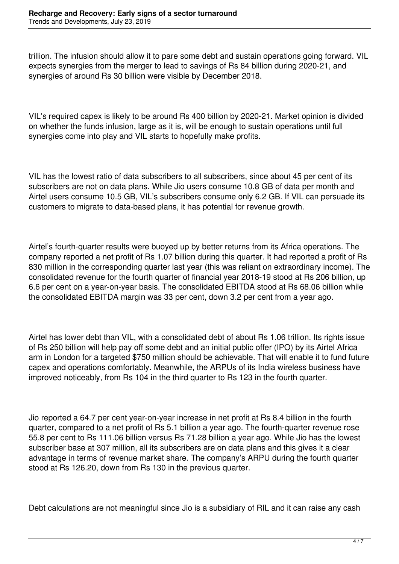trillion. The infusion should allow it to pare some debt and sustain operations going forward. VIL expects synergies from the merger to lead to savings of Rs 84 billion during 2020-21, and synergies of around Rs 30 billion were visible by December 2018.

VIL's required capex is likely to be around Rs 400 billion by 2020-21. Market opinion is divided on whether the funds infusion, large as it is, will be enough to sustain operations until full synergies come into play and VIL starts to hopefully make profits.

VIL has the lowest ratio of data subscribers to all subscribers, since about 45 per cent of its subscribers are not on data plans. While Jio users consume 10.8 GB of data per month and Airtel users consume 10.5 GB, VIL's subscribers consume only 6.2 GB. If VIL can persuade its customers to migrate to data-based plans, it has potential for revenue growth.

Airtel's fourth-quarter results were buoyed up by better returns from its Africa operations. The company reported a net profit of Rs 1.07 billion during this quarter. It had reported a profit of Rs 830 million in the corresponding quarter last year (this was reliant on extraordinary income). The consolidated revenue for the fourth quarter of financial year 2018-19 stood at Rs 206 billion, up 6.6 per cent on a year-on-year basis. The consolidated EBITDA stood at Rs 68.06 billion while the consolidated EBITDA margin was 33 per cent, down 3.2 per cent from a year ago.

Airtel has lower debt than VIL, with a consolidated debt of about Rs 1.06 trillion. Its rights issue of Rs 250 billion will help pay off some debt and an initial public offer (IPO) by its Airtel Africa arm in London for a targeted \$750 million should be achievable. That will enable it to fund future capex and operations comfortably. Meanwhile, the ARPUs of its India wireless business have improved noticeably, from Rs 104 in the third quarter to Rs 123 in the fourth quarter.

Jio reported a 64.7 per cent year-on-year increase in net profit at Rs 8.4 billion in the fourth quarter, compared to a net profit of Rs 5.1 billion a year ago. The fourth-quarter revenue rose 55.8 per cent to Rs 111.06 billion versus Rs 71.28 billion a year ago. While Jio has the lowest subscriber base at 307 million, all its subscribers are on data plans and this gives it a clear advantage in terms of revenue market share. The company's ARPU during the fourth quarter stood at Rs 126.20, down from Rs 130 in the previous quarter.

Debt calculations are not meaningful since Jio is a subsidiary of RIL and it can raise any cash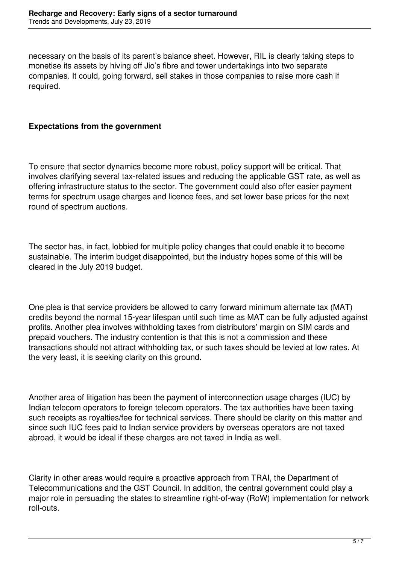necessary on the basis of its parent's balance sheet. However, RIL is clearly taking steps to monetise its assets by hiving off Jio's fibre and tower undertakings into two separate companies. It could, going forward, sell stakes in those companies to raise more cash if required.

## **Expectations from the government**

To ensure that sector dynamics become more robust, policy support will be critical. That involves clarifying several tax-related issues and reducing the applicable GST rate, as well as offering infrastructure status to the sector. The government could also offer easier payment terms for spectrum usage charges and licence fees, and set lower base prices for the next round of spectrum auctions.

The sector has, in fact, lobbied for multiple policy changes that could enable it to become sustainable. The interim budget disappointed, but the industry hopes some of this will be cleared in the July 2019 budget.

One plea is that service providers be allowed to carry forward minimum alternate tax (MAT) credits beyond the normal 15-year lifespan until such time as MAT can be fully adjusted against profits. Another plea involves withholding taxes from distributors' margin on SIM cards and prepaid vouchers. The industry contention is that this is not a commission and these transactions should not attract withholding tax, or such taxes should be levied at low rates. At the very least, it is seeking clarity on this ground.

Another area of litigation has been the payment of interconnection usage charges (IUC) by Indian telecom operators to foreign telecom operators. The tax authorities have been taxing such receipts as royalties/fee for technical services. There should be clarity on this matter and since such IUC fees paid to Indian service providers by overseas operators are not taxed abroad, it would be ideal if these charges are not taxed in India as well.

Clarity in other areas would require a proactive approach from TRAI, the Department of Telecommunications and the GST Council. In addition, the central government could play a major role in persuading the states to streamline right-of-way (RoW) implementation for network roll-outs.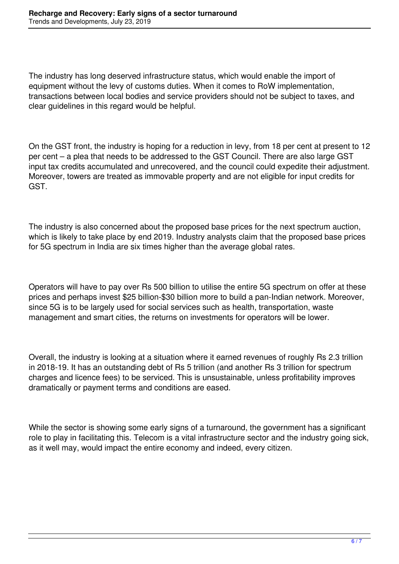The industry has long deserved infrastructure status, which would enable the import of equipment without the levy of customs duties. When it comes to RoW implementation, transactions between local bodies and service providers should not be subject to taxes, and clear guidelines in this regard would be helpful.

On the GST front, the industry is hoping for a reduction in levy, from 18 per cent at present to 12 per cent – a plea that needs to be addressed to the GST Council. There are also large GST input tax credits accumulated and unrecovered, and the council could expedite their adjustment. Moreover, towers are treated as immovable property and are not eligible for input credits for GST.

The industry is also concerned about the proposed base prices for the next spectrum auction, which is likely to take place by end 2019. Industry analysts claim that the proposed base prices for 5G spectrum in India are six times higher than the average global rates.

Operators will have to pay over Rs 500 billion to utilise the entire 5G spectrum on offer at these prices and perhaps invest \$25 billion-\$30 billion more to build a pan-Indian network. Moreover, since 5G is to be largely used for social services such as health, transportation, waste management and smart cities, the returns on investments for operators will be lower.

Overall, the industry is looking at a situation where it earned revenues of roughly Rs 2.3 trillion in 2018-19. It has an outstanding debt of Rs 5 trillion (and another Rs 3 trillion for spectrum charges and licence fees) to be serviced. This is unsustainable, unless profitability improves dramatically or payment terms and conditions are eased.

While the sector is showing some early signs of a turnaround, the government has a significant role to play in facilitating this. Telecom is a vital infrastructure sector and the industry going sick, as it well may, would impact the entire economy and indeed, every citizen.